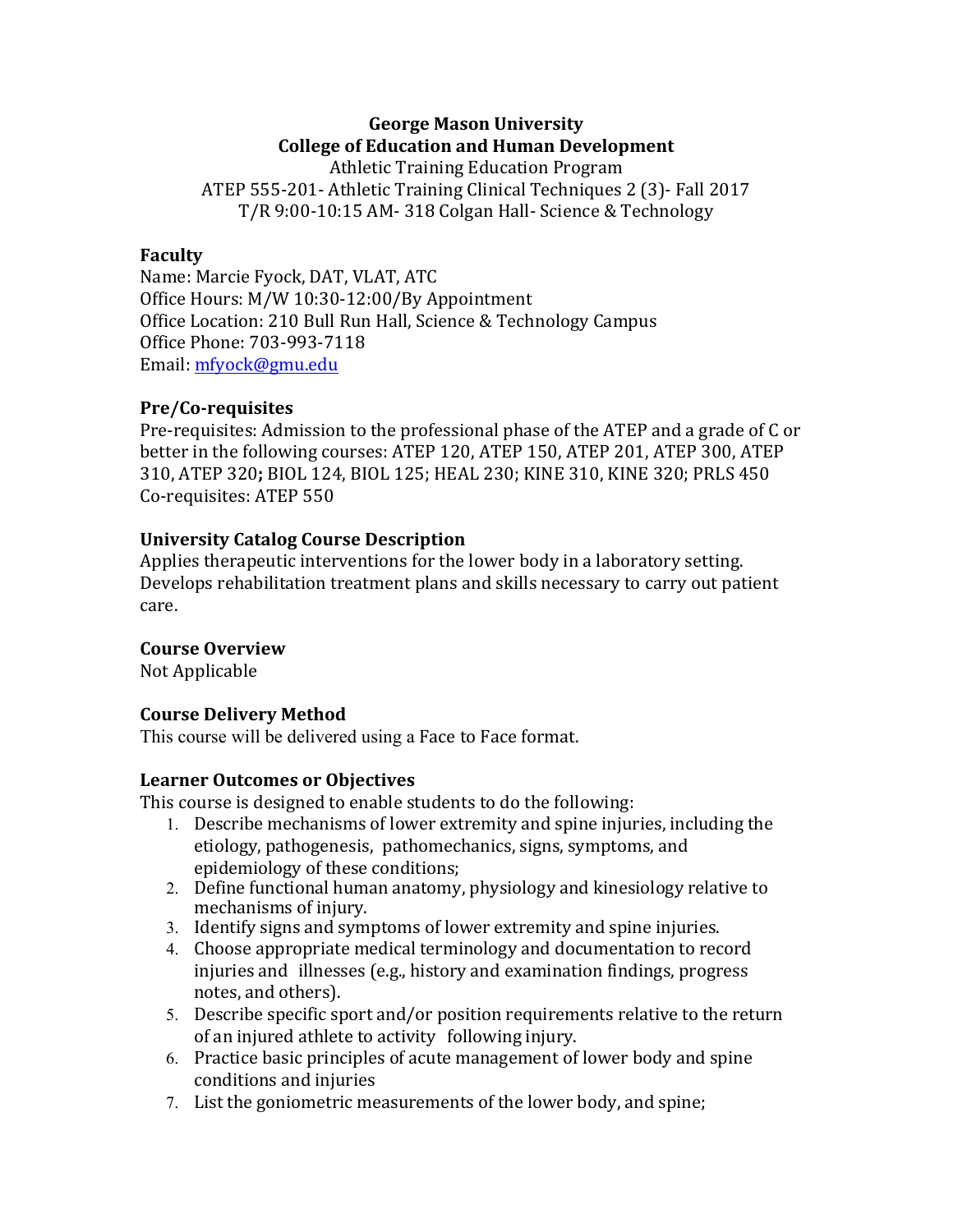# **George Mason University College of Education and Human Development**

Athletic Training Education Program ATEP 555-201- Athletic Training Clinical Techniques 2 (3)- Fall 2017 T/R 9:00-10:15 AM- 318 Colgan Hall- Science & Technology

### **Faculty**

Name: Marcie Fyock, DAT, VLAT, ATC Office Hours: M/W 10:30-12:00/By Appointment Office Location: 210 Bull Run Hall, Science & Technology Campus Office Phone: 703-993-7118 Email: mfyock@gmu.edu

### **Pre/Co-requisites**

Pre-requisites: Admission to the professional phase of the ATEP and a grade of C or better in the following courses: ATEP 120, ATEP 150, ATEP 201, ATEP 300, ATEP 310, ATEP 320; BIOL 124, BIOL 125; HEAL 230; KINE 310, KINE 320; PRLS 450 Co-requisites: ATEP 550

### **University Catalog Course Description**

Applies therapeutic interventions for the lower body in a laboratory setting. Develops rehabilitation treatment plans and skills necessary to carry out patient care.

## **Course Overview**

Not Applicable

## **Course Delivery Method**

This course will be delivered using a Face to Face format.

### **Learner Outcomes or Objectives**

This course is designed to enable students to do the following:

- 1. Describe mechanisms of lower extremity and spine injuries, including the etiology, pathogenesis, pathomechanics, signs, symptoms, and epidemiology of these conditions;
- 2. Define functional human anatomy, physiology and kinesiology relative to mechanisms of injury.
- 3. Identify signs and symptoms of lower extremity and spine injuries.
- 4. Choose appropriate medical terminology and documentation to record injuries and illnesses (e.g., history and examination findings, progress notes, and others).
- 5. Describe specific sport and/or position requirements relative to the return of an injured athlete to activity following injury.
- 6. Practice basic principles of acute management of lower body and spine conditions and injuries
- 7. List the goniometric measurements of the lower body, and spine;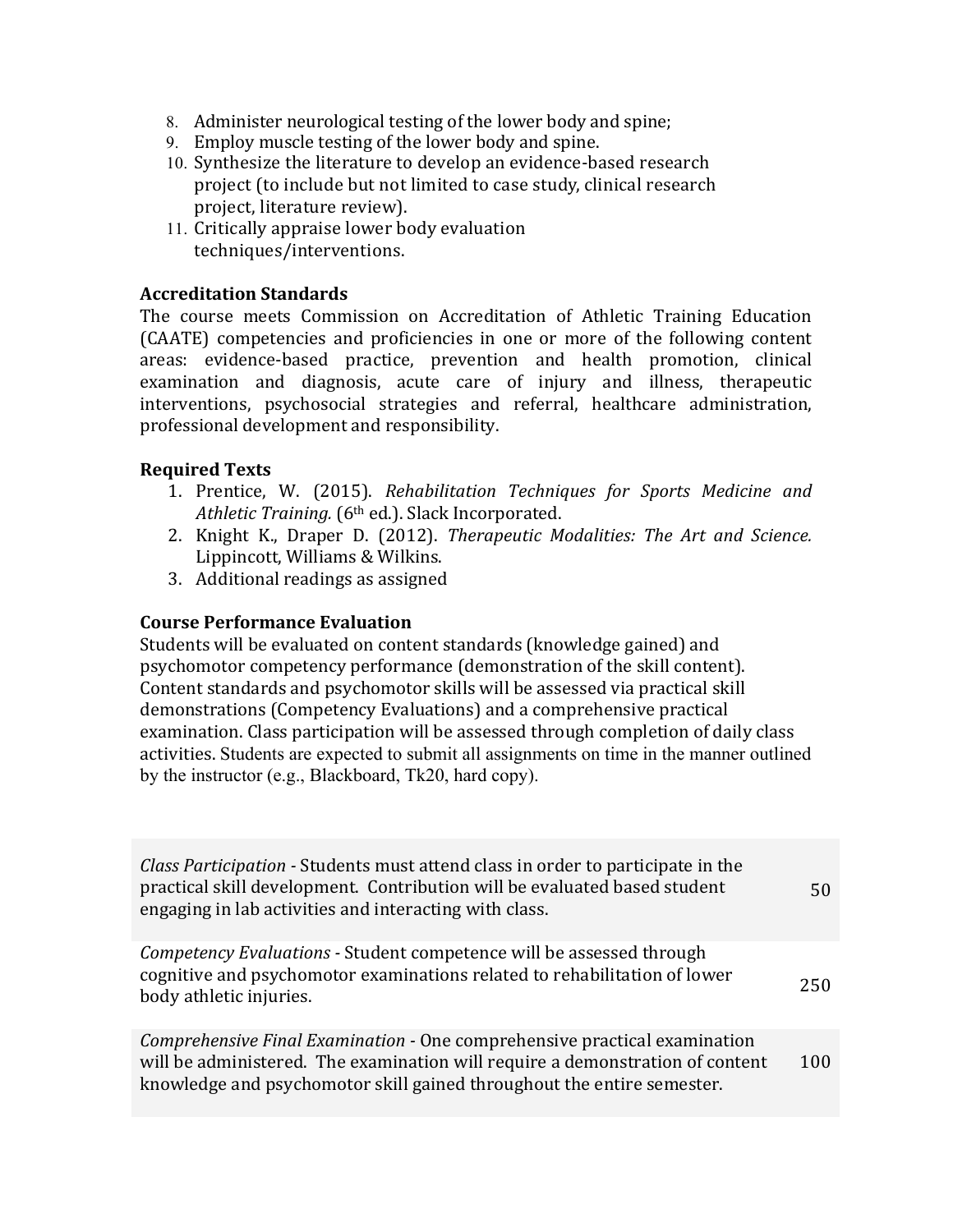- 8. Administer neurological testing of the lower body and spine:
- 9. Employ muscle testing of the lower body and spine.
- 10. Synthesize the literature to develop an evidence-based research project (to include but not limited to case study, clinical research project, literature review).
- 11. Critically appraise lower body evaluation techniques/interventions.

### **Accreditation Standards**

The course meets Commission on Accreditation of Athletic Training Education (CAATE) competencies and proficiencies in one or more of the following content areas: evidence-based practice, prevention and health promotion, clinical examination and diagnosis, acute care of injury and illness, therapeutic interventions, psychosocial strategies and referral, healthcare administration, professional development and responsibility.

### **Required Texts**

- 1. Prentice, W. (2015). *Rehabilitation Techniques for Sports Medicine and Athletic Training.* (6<sup>th</sup> ed.). Slack Incorporated.
- 2. Knight K., Draper D. (2012). *Therapeutic Modalities: The Art and Science.* Lippincott, Williams & Wilkins.
- 3. Additional readings as assigned

### **Course Performance Evaluation**

Students will be evaluated on content standards (knowledge gained) and psychomotor competency performance (demonstration of the skill content). Content standards and psychomotor skills will be assessed via practical skill demonstrations (Competency Evaluations) and a comprehensive practical examination. Class participation will be assessed through completion of daily class activities. Students are expected to submit all assignments on time in the manner outlined by the instructor (e.g., Blackboard, Tk20, hard copy).

| <i>Class Participation - Students must attend class in order to participate in the</i><br>practical skill development. Contribution will be evaluated based student<br>engaging in lab activities and interacting with class.        | 50  |
|--------------------------------------------------------------------------------------------------------------------------------------------------------------------------------------------------------------------------------------|-----|
| Competency Evaluations - Student competence will be assessed through<br>cognitive and psychomotor examinations related to rehabilitation of lower<br>body athletic injuries.                                                         | 250 |
| Comprehensive Final Examination - One comprehensive practical examination<br>will be administered. The examination will require a demonstration of content<br>knowledge and psychomotor skill gained throughout the entire semester. | 100 |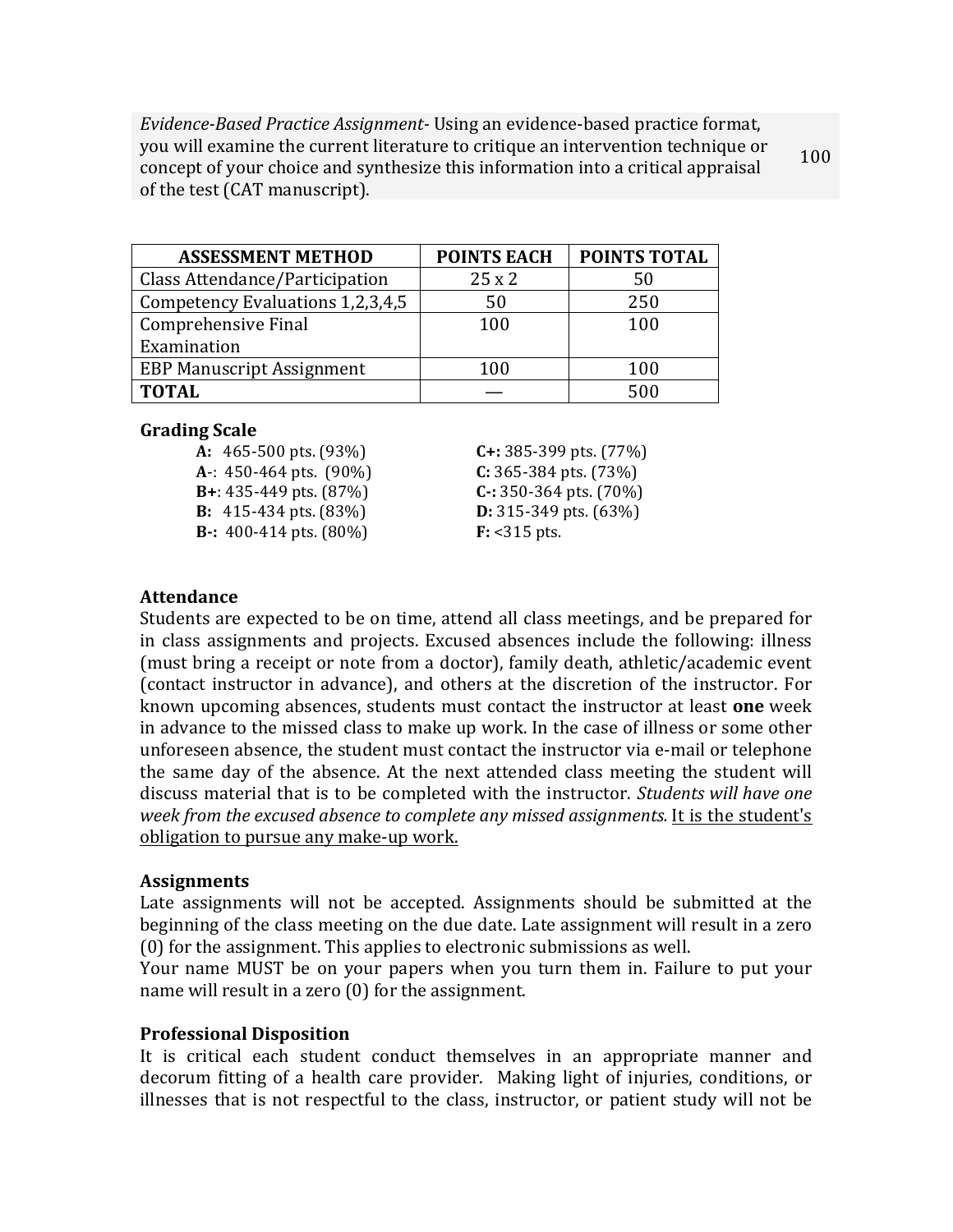*Evidence-Based Practice Assignment-* Using an evidence-based practice format, you will examine the current literature to critique an intervention technique or concept of your choice and synthesize this information into a critical appraisal of the test (CAT manuscript). 100

| <b>ASSESSMENT METHOD</b>         | <b>POINTS EACH</b> | <b>POINTS TOTAL</b> |
|----------------------------------|--------------------|---------------------|
| Class Attendance/Participation   | 25x2               | 50                  |
| Competency Evaluations 1,2,3,4,5 | 50                 | 250                 |
| Comprehensive Final              | 100                | 100                 |
| Examination                      |                    |                     |
| <b>EBP Manuscript Assignment</b> | 100                | 100                 |
| <b>TOTAL</b>                     |                    | 500                 |

### **Grading Scale**

**A**-: 450-464 pts. (90%) **C:** 365-384 pts. (73%) **B:** 415-434 pts. (83%) **D:** 315-349 pts. (63%) **B**: 400-414 pts. (80%) **F:** <315 pts.

**A:** 465-500 pts. (93%) **C+:** 385-399 pts. (77%) **B**+: 435-449 pts. (87%) **C**-: 350-364 pts. (70%)

### **Attendance**

Students are expected to be on time, attend all class meetings, and be prepared for in class assignments and projects. Excused absences include the following: illness (must bring a receipt or note from a doctor), family death, athletic/academic event (contact instructor in advance), and others at the discretion of the instructor. For known upcoming absences, students must contact the instructor at least **one** week in advance to the missed class to make up work. In the case of illness or some other unforeseen absence, the student must contact the instructor via e-mail or telephone the same day of the absence. At the next attended class meeting the student will discuss material that is to be completed with the instructor. *Students will have one week from the excused absence to complete any missed assignments.* It is the student's obligation to pursue any make-up work.

#### **Assignments**

Late assignments will not be accepted. Assignments should be submitted at the beginning of the class meeting on the due date. Late assignment will result in a zero  $(0)$  for the assignment. This applies to electronic submissions as well.

Your name MUST be on your papers when you turn them in. Failure to put your name will result in a zero  $(0)$  for the assignment.

### **Professional Disposition**

It is critical each student conduct themselves in an appropriate manner and decorum fitting of a health care provider. Making light of injuries, conditions, or illnesses that is not respectful to the class, instructor, or patient study will not be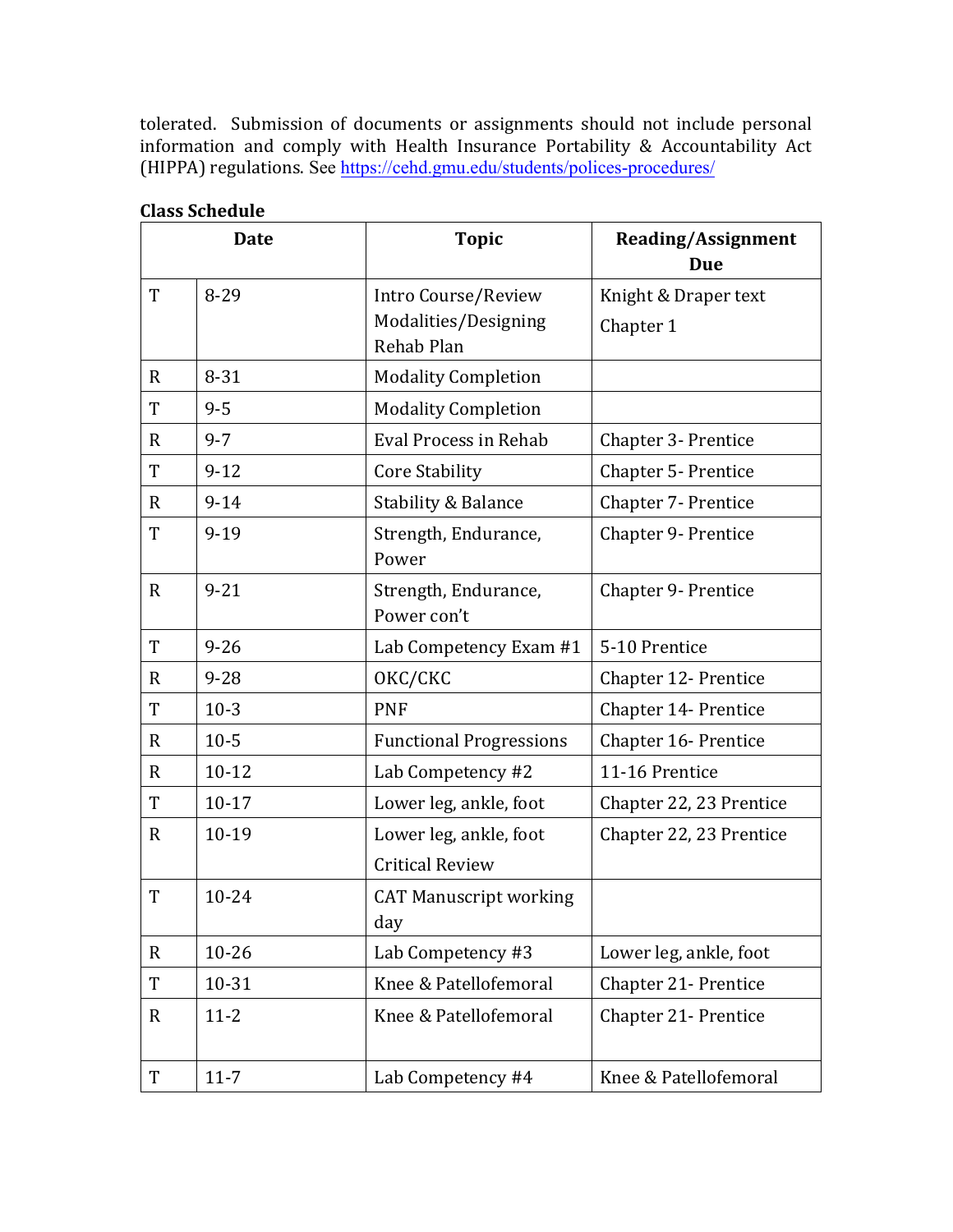tolerated. Submission of documents or assignments should not include personal information and comply with Health Insurance Portability & Accountability Act (HIPPA) regulations. See https://cehd.gmu.edu/students/polices-procedures/

|              | <b>Date</b> | <b>Topic</b>                                              | <b>Reading/Assignment</b><br>Due  |
|--------------|-------------|-----------------------------------------------------------|-----------------------------------|
| T            | 8-29        | Intro Course/Review<br>Modalities/Designing<br>Rehab Plan | Knight & Draper text<br>Chapter 1 |
| $\mathbf{R}$ | $8 - 31$    | <b>Modality Completion</b>                                |                                   |
| T            | $9 - 5$     | <b>Modality Completion</b>                                |                                   |
| R            | $9 - 7$     | Eval Process in Rehab                                     | Chapter 3- Prentice               |
| T            | $9 - 12$    | <b>Core Stability</b>                                     | Chapter 5- Prentice               |
| $\mathbf R$  | $9 - 14$    | <b>Stability &amp; Balance</b>                            | Chapter 7- Prentice               |
| T            | $9 - 19$    | Strength, Endurance,<br>Power                             | <b>Chapter 9- Prentice</b>        |
| $\mathbf{R}$ | $9 - 21$    | Strength, Endurance,<br>Power con't                       | <b>Chapter 9- Prentice</b>        |
| T            | $9 - 26$    | Lab Competency Exam #1                                    | 5-10 Prentice                     |
| R            | $9 - 28$    | OKC/CKC                                                   | Chapter 12- Prentice              |
| T            | $10-3$      | <b>PNF</b>                                                | Chapter 14- Prentice              |
| $\mathbf{R}$ | $10 - 5$    | <b>Functional Progressions</b>                            | Chapter 16- Prentice              |
| $\mathbf R$  | $10 - 12$   | Lab Competency #2                                         | 11-16 Prentice                    |
| T            | $10-17$     | Lower leg, ankle, foot                                    | Chapter 22, 23 Prentice           |
| $\mathbf{R}$ | 10-19       | Lower leg, ankle, foot<br><b>Critical Review</b>          | Chapter 22, 23 Prentice           |
| T            | $10 - 24$   | <b>CAT Manuscript working</b><br>day                      |                                   |
| $\mathbf{R}$ | $10 - 26$   | Lab Competency #3                                         | Lower leg, ankle, foot            |
| $\mathbf T$  | 10-31       | Knee & Patellofemoral                                     | Chapter 21- Prentice              |
| $\mathbf R$  | $11 - 2$    | Knee & Patellofemoral                                     | Chapter 21- Prentice              |
| T            | $11 - 7$    | Lab Competency #4                                         | Knee & Patellofemoral             |

### **Class Schedule**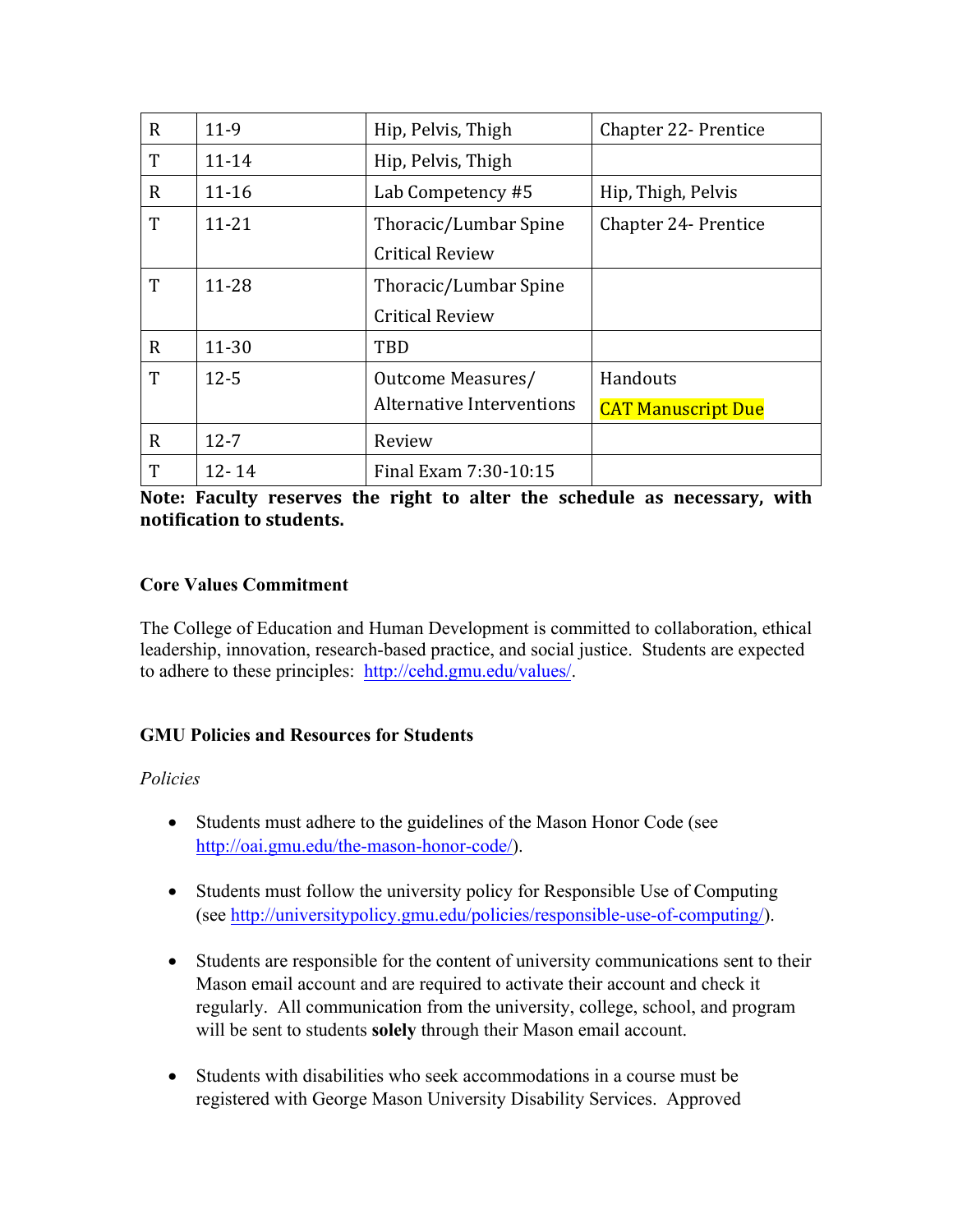| $\mathbf R$ | $11-9$    | Hip, Pelvis, Thigh               | <b>Chapter 22- Prentice</b> |
|-------------|-----------|----------------------------------|-----------------------------|
| T           | $11 - 14$ | Hip, Pelvis, Thigh               |                             |
| R           | $11 - 16$ | Lab Competency #5                | Hip, Thigh, Pelvis          |
| T           | $11 - 21$ | Thoracic/Lumbar Spine            | <b>Chapter 24- Prentice</b> |
|             |           | <b>Critical Review</b>           |                             |
| T           | 11-28     | Thoracic/Lumbar Spine            |                             |
|             |           | <b>Critical Review</b>           |                             |
| $\mathbf R$ | $11 - 30$ | TBD                              |                             |
| T           | $12 - 5$  | Outcome Measures/                | Handouts                    |
|             |           | <b>Alternative Interventions</b> | <b>CAT Manuscript Due</b>   |
| $\mathbf R$ | $12 - 7$  | Review                           |                             |
| T           | $12 - 14$ | Final Exam 7:30-10:15            |                             |

Note: Faculty reserves the right to alter the schedule as necessary, with **notification to students.**

## **Core Values Commitment**

The College of Education and Human Development is committed to collaboration, ethical leadership, innovation, research-based practice, and social justice. Students are expected to adhere to these principles: http://cehd.gmu.edu/values/.

## **GMU Policies and Resources for Students**

## *Policies*

- Students must adhere to the guidelines of the Mason Honor Code (see http://oai.gmu.edu/the-mason-honor-code/).
- Students must follow the university policy for Responsible Use of Computing (see http://universitypolicy.gmu.edu/policies/responsible-use-of-computing/).
- Students are responsible for the content of university communications sent to their Mason email account and are required to activate their account and check it regularly. All communication from the university, college, school, and program will be sent to students **solely** through their Mason email account.
- Students with disabilities who seek accommodations in a course must be registered with George Mason University Disability Services. Approved